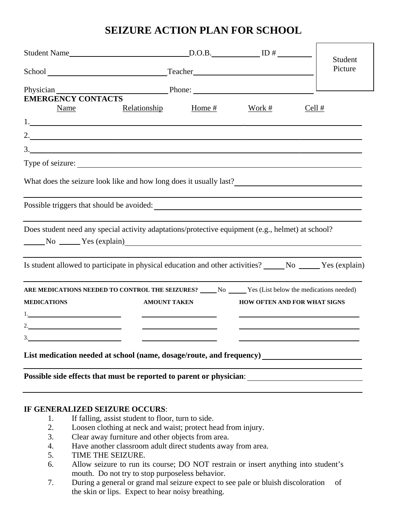# **SEIZURE ACTION PLAN FOR SCHOOL**

|                                                                                                                                  |                     |        |                              | Student |
|----------------------------------------------------------------------------------------------------------------------------------|---------------------|--------|------------------------------|---------|
| School Teacher Teacher Teacher Teacher Teacher Teacher Teacher Teacher Teacher Teacher Teacher Teacher Teacher                   |                     |        |                              | Picture |
| Physician Physician Phone: Phone:<br><b>EMERGENCY CONTACTS</b>                                                                   |                     |        |                              |         |
| Relationship<br>Name                                                                                                             | Home #              | Work # | Cell #                       |         |
| 1.                                                                                                                               |                     |        |                              |         |
|                                                                                                                                  |                     |        |                              |         |
|                                                                                                                                  |                     |        |                              |         |
|                                                                                                                                  |                     |        |                              |         |
| Possible triggers that should be avoided:<br><u>Letting</u> and the should be avoided:                                           |                     |        |                              |         |
| Does student need any special activity adaptations/protective equipment (e.g., helmet) at school?                                |                     |        |                              |         |
| Is student allowed to participate in physical education and other activities? No No New Yes (explain)                            |                     |        |                              |         |
| ARE MEDICATIONS NEEDED TO CONTROL THE SEIZURES? No No. The Yes (List below the medications needed)<br><b>MEDICATIONS</b><br>$1.$ | <b>AMOUNT TAKEN</b> |        | HOW OFTEN AND FOR WHAT SIGNS |         |
| 2.                                                                                                                               |                     |        |                              |         |
| 3.                                                                                                                               |                     |        |                              |         |
|                                                                                                                                  |                     |        |                              |         |
| Possible side effects that must be reported to parent or physician:                                                              |                     |        |                              |         |

#### **IF GENERALIZED SEIZURE OCCURS**:

- 1. If falling, assist student to floor, turn to side.
- 2. Loosen clothing at neck and waist; protect head from injury.
- 3. Clear away furniture and other objects from area.
- 4. Have another classroom adult direct students away from area.
- 5. TIME THE SEIZURE.
- 6. Allow seizure to run its course; DO NOT restrain or insert anything into student's mouth. Do not try to stop purposeless behavior.
- 7. During a general or grand mal seizure expect to see pale or bluish discoloration of the skin or lips. Expect to hear noisy breathing.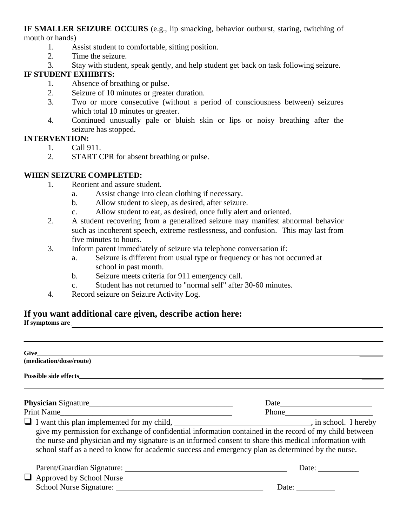**IF SMALLER SEIZURE OCCURS** (e.g., lip smacking, behavior outburst, staring, twitching of mouth or hands)

- 1. Assist student to comfortable, sitting position.
- 2. Time the seizure.
- 3. Stay with student, speak gently, and help student get back on task following seizure.

## **IF STUDENT EXHIBITS:**

- 1. Absence of breathing or pulse.
- 2. Seizure of 10 minutes or greater duration.
- 3. Two or more consecutive (without a period of consciousness between) seizures which total 10 minutes or greater.
- 4. Continued unusually pale or bluish skin or lips or noisy breathing after the seizure has stopped.

#### **INTERVENTION:**

- 1. Call 911.
- 2. START CPR for absent breathing or pulse.

## **WHEN SEIZURE COMPLETED:**

- 1. Reorient and assure student.
	- a. Assist change into clean clothing if necessary.
	- b. Allow student to sleep, as desired, after seizure.
	- c. Allow student to eat, as desired, once fully alert and oriented.
- 2. A student recovering from a generalized seizure may manifest abnormal behavior such as incoherent speech, extreme restlessness, and confusion. This may last from five minutes to hours.
- 3. Inform parent immediately of seizure via telephone conversation if:
	- a. Seizure is different from usual type or frequency or has not occurred at school in past month.
	- b. Seizure meets criteria for 911 emergency call.
	- c. Student has not returned to "normal self" after 30-60 minutes.
- 4. Record seizure on Seizure Activity Log.

## **If you want additional care given, describe action here:**

If symptoms are

| (medication/dose/route)                                                                                                                                                                                                                                                                                                                                                                                                        |                                |  |
|--------------------------------------------------------------------------------------------------------------------------------------------------------------------------------------------------------------------------------------------------------------------------------------------------------------------------------------------------------------------------------------------------------------------------------|--------------------------------|--|
|                                                                                                                                                                                                                                                                                                                                                                                                                                |                                |  |
|                                                                                                                                                                                                                                                                                                                                                                                                                                |                                |  |
| Print Name                                                                                                                                                                                                                                                                                                                                                                                                                     |                                |  |
| I want this plan implemented for my child, ___________________________________, in school. I hereby<br>give my permission for exchange of confidential information contained in the record of my child between<br>the nurse and physician and my signature is an informed consent to share this medical information with<br>school staff as a need to know for academic success and emergency plan as determined by the nurse. |                                |  |
| $\Box$ Approved by School Nurse                                                                                                                                                                                                                                                                                                                                                                                                | Date:<br>Date: $\qquad \qquad$ |  |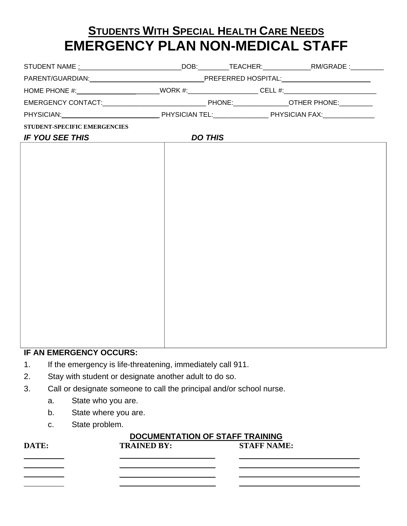# **STUDENTS WITH SPECIAL HEALTH CARE NEEDS EMERGENCY PLAN NON-MEDICAL STAFF**

| HOME PHONE #:_________________________WORK #:____________________CELL #:____________________________ |                |  |
|------------------------------------------------------------------------------------------------------|----------------|--|
|                                                                                                      |                |  |
|                                                                                                      |                |  |
| STUDENT-SPECIFIC EMERGENCIES                                                                         |                |  |
| <b>IF YOU SEE THIS</b>                                                                               | <b>DO THIS</b> |  |
|                                                                                                      |                |  |
|                                                                                                      |                |  |
|                                                                                                      |                |  |
|                                                                                                      |                |  |
|                                                                                                      |                |  |
|                                                                                                      |                |  |
|                                                                                                      |                |  |
|                                                                                                      |                |  |
|                                                                                                      |                |  |
|                                                                                                      |                |  |
|                                                                                                      |                |  |
|                                                                                                      |                |  |
|                                                                                                      |                |  |
|                                                                                                      |                |  |
|                                                                                                      |                |  |
|                                                                                                      |                |  |
|                                                                                                      |                |  |

#### **IF AN EMERGENCY OCCURS:**

- 1. If the emergency is life-threatening, immediately call 911.
- 2. Stay with student or designate another adult to do so.
- 3. Call or designate someone to call the principal and/or school nurse.
	- a. State who you are.
	- b. State where you are.
	- c. State problem.

#### **DOCUMENTATION OF STAFF TRAINING**

| DATE: | <b>TRAINED BY:</b> | <b>STAFF NAME:</b> |
|-------|--------------------|--------------------|
|       |                    |                    |
|       |                    |                    |